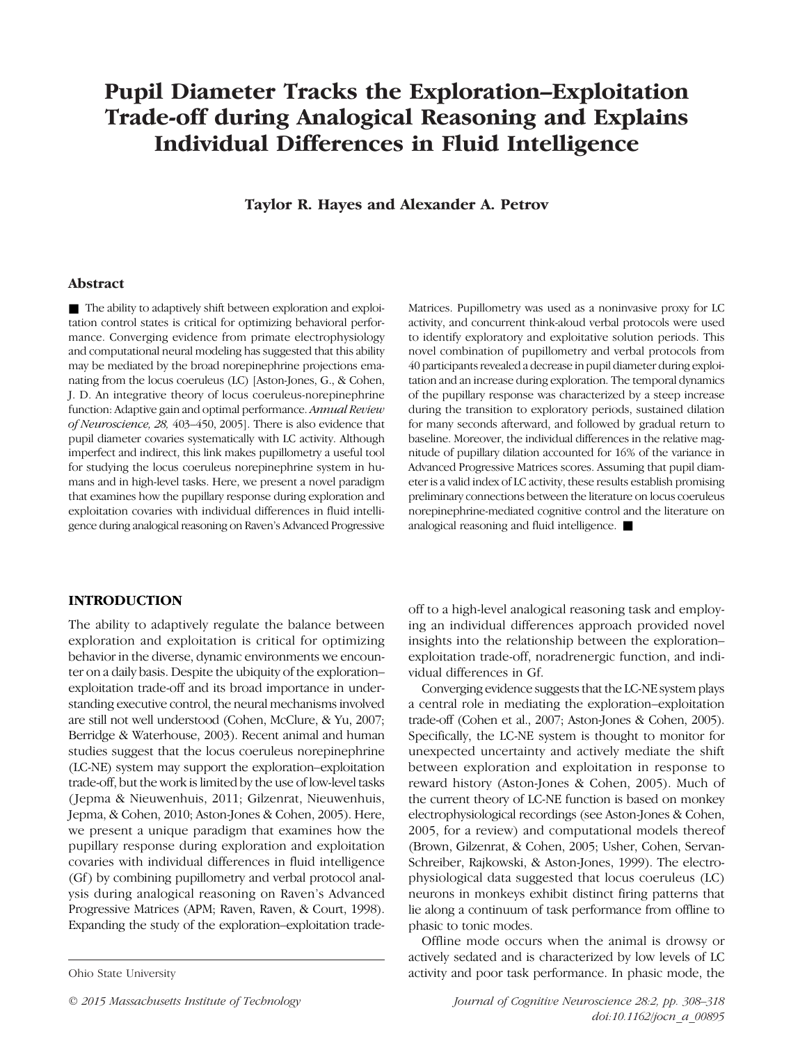# Pupil Diameter Tracks the Exploration*–*Exploitation Trade-off during Analogical Reasoning and Explains Individual Differences in Fluid Intelligence

Taylor R. Hayes and Alexander A. Petrov

## Abstract

■ The ability to adaptively shift between exploration and exploitation control states is critical for optimizing behavioral performance. Converging evidence from primate electrophysiology and computational neural modeling has suggested that this ability may be mediated by the broad norepinephrine projections emanating from the locus coeruleus (LC) [Aston-Jones, G., & Cohen, J. D. An integrative theory of locus coeruleus-norepinephrine function: Adaptive gain and optimal performance. Annual Review of Neuroscience, 28, 403–450, 2005]. There is also evidence that pupil diameter covaries systematically with LC activity. Although imperfect and indirect, this link makes pupillometry a useful tool for studying the locus coeruleus norepinephrine system in humans and in high-level tasks. Here, we present a novel paradigm that examines how the pupillary response during exploration and exploitation covaries with individual differences in fluid intelligence during analogical reasoning on Raven's Advanced Progressive Matrices. Pupillometry was used as a noninvasive proxy for LC activity, and concurrent think-aloud verbal protocols were used to identify exploratory and exploitative solution periods. This novel combination of pupillometry and verbal protocols from 40 participants revealed a decrease in pupil diameter during exploitation and an increase during exploration. The temporal dynamics of the pupillary response was characterized by a steep increase during the transition to exploratory periods, sustained dilation for many seconds afterward, and followed by gradual return to baseline. Moreover, the individual differences in the relative magnitude of pupillary dilation accounted for 16% of the variance in Advanced Progressive Matrices scores. Assuming that pupil diameter is a valid index of LC activity, these results establish promising preliminary connections between the literature on locus coeruleus norepinephrine-mediated cognitive control and the literature on analogical reasoning and fluid intelligence. ■

#### INTRODUCTION

The ability to adaptively regulate the balance between exploration and exploitation is critical for optimizing behavior in the diverse, dynamic environments we encounter on a daily basis. Despite the ubiquity of the exploration– exploitation trade-off and its broad importance in understanding executive control, the neural mechanisms involved are still not well understood (Cohen, McClure, & Yu, 2007; Berridge & Waterhouse, 2003). Recent animal and human studies suggest that the locus coeruleus norepinephrine (LC-NE) system may support the exploration–exploitation trade-off, but the work is limited by the use of low-level tasks ( Jepma & Nieuwenhuis, 2011; Gilzenrat, Nieuwenhuis, Jepma, & Cohen, 2010; Aston-Jones & Cohen, 2005). Here, we present a unique paradigm that examines how the pupillary response during exploration and exploitation covaries with individual differences in fluid intelligence (Gf) by combining pupillometry and verbal protocol analysis during analogical reasoning on Raven's Advanced Progressive Matrices (APM; Raven, Raven, & Court, 1998). Expanding the study of the exploration–exploitation trade-

off to a high-level analogical reasoning task and employing an individual differences approach provided novel insights into the relationship between the exploration– exploitation trade-off, noradrenergic function, and individual differences in Gf.

Converging evidence suggests that the LC-NE system plays a central role in mediating the exploration–exploitation trade-off (Cohen et al., 2007; Aston-Jones & Cohen, 2005). Specifically, the LC-NE system is thought to monitor for unexpected uncertainty and actively mediate the shift between exploration and exploitation in response to reward history (Aston-Jones & Cohen, 2005). Much of the current theory of LC-NE function is based on monkey electrophysiological recordings (see Aston-Jones & Cohen, 2005, for a review) and computational models thereof (Brown, Gilzenrat, & Cohen, 2005; Usher, Cohen, Servan-Schreiber, Rajkowski, & Aston-Jones, 1999). The electrophysiological data suggested that locus coeruleus (LC) neurons in monkeys exhibit distinct firing patterns that lie along a continuum of task performance from offline to phasic to tonic modes.

Offline mode occurs when the animal is drowsy or actively sedated and is characterized by low levels of LC Ohio State University activity and poor task performance. In phasic mode, the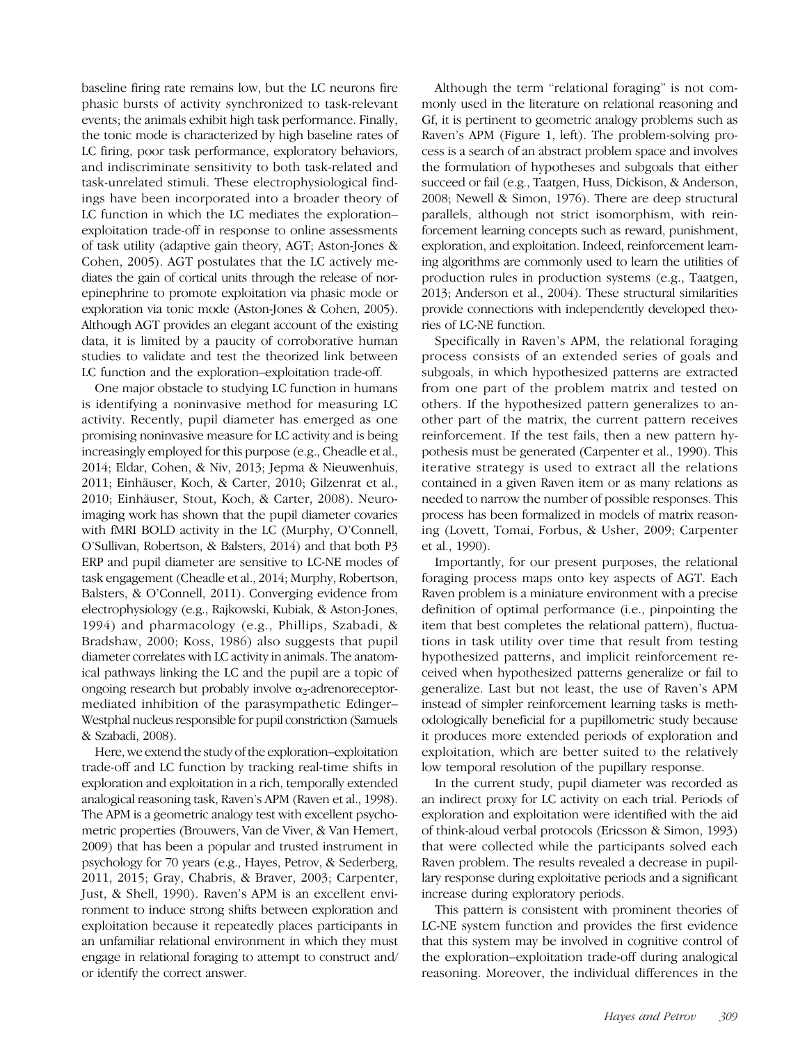baseline firing rate remains low, but the LC neurons fire phasic bursts of activity synchronized to task-relevant events; the animals exhibit high task performance. Finally, the tonic mode is characterized by high baseline rates of LC firing, poor task performance, exploratory behaviors, and indiscriminate sensitivity to both task-related and task-unrelated stimuli. These electrophysiological findings have been incorporated into a broader theory of LC function in which the LC mediates the exploration– exploitation trade-off in response to online assessments of task utility (adaptive gain theory, AGT; Aston-Jones & Cohen, 2005). AGT postulates that the LC actively mediates the gain of cortical units through the release of norepinephrine to promote exploitation via phasic mode or exploration via tonic mode (Aston-Jones & Cohen, 2005). Although AGT provides an elegant account of the existing data, it is limited by a paucity of corroborative human studies to validate and test the theorized link between LC function and the exploration–exploitation trade-off.

One major obstacle to studying LC function in humans is identifying a noninvasive method for measuring LC activity. Recently, pupil diameter has emerged as one promising noninvasive measure for LC activity and is being increasingly employed for this purpose (e.g., Cheadle et al., 2014; Eldar, Cohen, & Niv, 2013; Jepma & Nieuwenhuis, 2011; Einhäuser, Koch, & Carter, 2010; Gilzenrat et al., 2010; Einhäuser, Stout, Koch, & Carter, 2008). Neuroimaging work has shown that the pupil diameter covaries with fMRI BOLD activity in the LC (Murphy, O'Connell, O'Sullivan, Robertson, & Balsters, 2014) and that both P3 ERP and pupil diameter are sensitive to LC-NE modes of task engagement (Cheadle et al., 2014; Murphy, Robertson, Balsters, & O'Connell, 2011). Converging evidence from electrophysiology (e.g., Rajkowski, Kubiak, & Aston-Jones, 1994) and pharmacology (e.g., Phillips, Szabadi, & Bradshaw, 2000; Koss, 1986) also suggests that pupil diameter correlates with LC activity in animals. The anatomical pathways linking the LC and the pupil are a topic of ongoing research but probably involve  $\alpha_2$ -adrenoreceptormediated inhibition of the parasympathetic Edinger– Westphal nucleus responsible for pupil constriction (Samuels & Szabadi, 2008).

Here, we extend the study of the exploration–exploitation trade-off and LC function by tracking real-time shifts in exploration and exploitation in a rich, temporally extended analogical reasoning task, Raven's APM (Raven et al., 1998). The APM is a geometric analogy test with excellent psychometric properties (Brouwers, Van de Viver, & Van Hemert, 2009) that has been a popular and trusted instrument in psychology for 70 years (e.g., Hayes, Petrov, & Sederberg, 2011, 2015; Gray, Chabris, & Braver, 2003; Carpenter, Just, & Shell, 1990). Raven's APM is an excellent environment to induce strong shifts between exploration and exploitation because it repeatedly places participants in an unfamiliar relational environment in which they must engage in relational foraging to attempt to construct and/ or identify the correct answer.

Although the term "relational foraging" is not commonly used in the literature on relational reasoning and Gf, it is pertinent to geometric analogy problems such as Raven's APM (Figure 1, left). The problem-solving process is a search of an abstract problem space and involves the formulation of hypotheses and subgoals that either succeed or fail (e.g., Taatgen, Huss, Dickison, & Anderson, 2008; Newell & Simon, 1976). There are deep structural parallels, although not strict isomorphism, with reinforcement learning concepts such as reward, punishment, exploration, and exploitation. Indeed, reinforcement learning algorithms are commonly used to learn the utilities of production rules in production systems (e.g., Taatgen, 2013; Anderson et al., 2004). These structural similarities provide connections with independently developed theories of LC-NE function.

Specifically in Raven's APM, the relational foraging process consists of an extended series of goals and subgoals, in which hypothesized patterns are extracted from one part of the problem matrix and tested on others. If the hypothesized pattern generalizes to another part of the matrix, the current pattern receives reinforcement. If the test fails, then a new pattern hypothesis must be generated (Carpenter et al., 1990). This iterative strategy is used to extract all the relations contained in a given Raven item or as many relations as needed to narrow the number of possible responses. This process has been formalized in models of matrix reasoning (Lovett, Tomai, Forbus, & Usher, 2009; Carpenter et al., 1990).

Importantly, for our present purposes, the relational foraging process maps onto key aspects of AGT. Each Raven problem is a miniature environment with a precise definition of optimal performance (i.e., pinpointing the item that best completes the relational pattern), fluctuations in task utility over time that result from testing hypothesized patterns, and implicit reinforcement received when hypothesized patterns generalize or fail to generalize. Last but not least, the use of Raven's APM instead of simpler reinforcement learning tasks is methodologically beneficial for a pupillometric study because it produces more extended periods of exploration and exploitation, which are better suited to the relatively low temporal resolution of the pupillary response.

In the current study, pupil diameter was recorded as an indirect proxy for LC activity on each trial. Periods of exploration and exploitation were identified with the aid of think-aloud verbal protocols (Ericsson & Simon, 1993) that were collected while the participants solved each Raven problem. The results revealed a decrease in pupillary response during exploitative periods and a significant increase during exploratory periods.

This pattern is consistent with prominent theories of LC-NE system function and provides the first evidence that this system may be involved in cognitive control of the exploration–exploitation trade-off during analogical reasoning. Moreover, the individual differences in the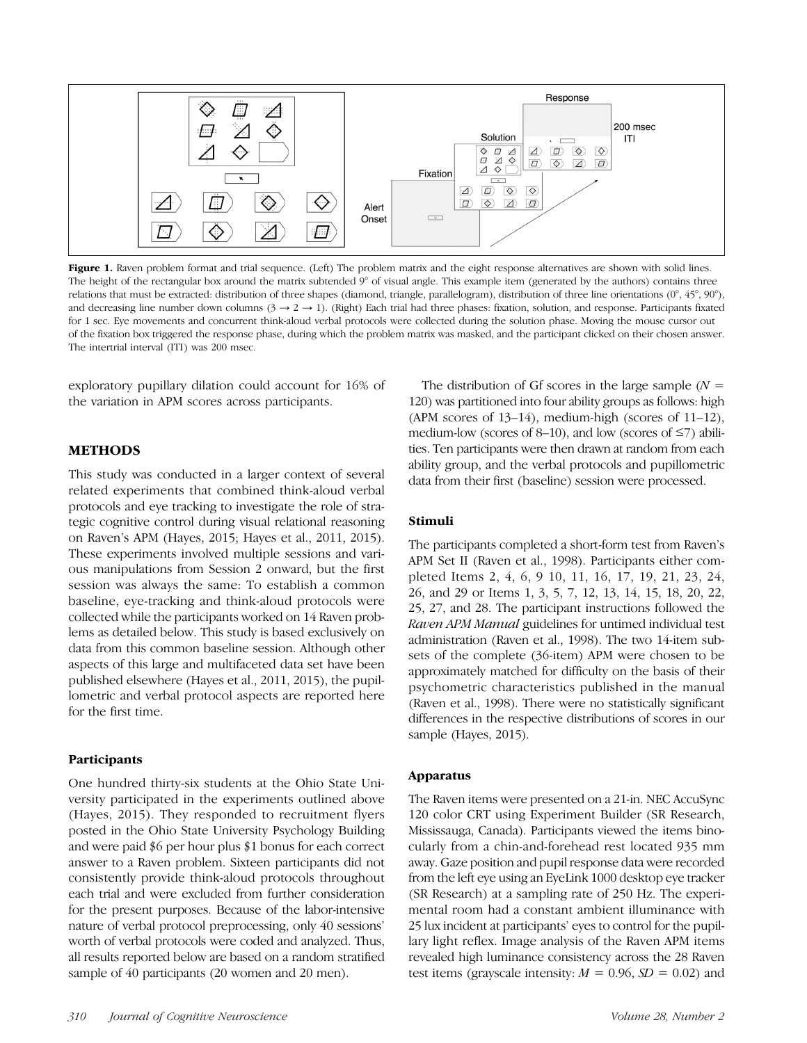

Figure 1. Raven problem format and trial sequence. (Left) The problem matrix and the eight response alternatives are shown with solid lines. The height of the rectangular box around the matrix subtended 9° of visual angle. This example item (generated by the authors) contains three relations that must be extracted: distribution of three shapes (diamond, triangle, parallelogram), distribution of three line orientations (0°, 45°, 90°), and decreasing line number down columns  $(3 \rightarrow 2 \rightarrow 1)$ . (Right) Each trial had three phases: fixation, solution, and response. Participants fixated for 1 sec. Eye movements and concurrent think-aloud verbal protocols were collected during the solution phase. Moving the mouse cursor out of the fixation box triggered the response phase, during which the problem matrix was masked, and the participant clicked on their chosen answer. The intertrial interval (ITI) was 200 msec.

exploratory pupillary dilation could account for 16% of the variation in APM scores across participants.

## METHODS

This study was conducted in a larger context of several related experiments that combined think-aloud verbal protocols and eye tracking to investigate the role of strategic cognitive control during visual relational reasoning on Raven's APM (Hayes, 2015; Hayes et al., 2011, 2015). These experiments involved multiple sessions and various manipulations from Session 2 onward, but the first session was always the same: To establish a common baseline, eye-tracking and think-aloud protocols were collected while the participants worked on 14 Raven problems as detailed below. This study is based exclusively on data from this common baseline session. Although other aspects of this large and multifaceted data set have been published elsewhere (Hayes et al., 2011, 2015), the pupillometric and verbal protocol aspects are reported here for the first time.

#### **Participants**

One hundred thirty-six students at the Ohio State University participated in the experiments outlined above (Hayes, 2015). They responded to recruitment flyers posted in the Ohio State University Psychology Building and were paid \$6 per hour plus \$1 bonus for each correct answer to a Raven problem. Sixteen participants did not consistently provide think-aloud protocols throughout each trial and were excluded from further consideration for the present purposes. Because of the labor-intensive nature of verbal protocol preprocessing, only 40 sessions' worth of verbal protocols were coded and analyzed. Thus, all results reported below are based on a random stratified sample of 40 participants (20 women and 20 men).

The distribution of Gf scores in the large sample  $(N =$ 120) was partitioned into four ability groups as follows: high (APM scores of 13–14), medium-high (scores of 11–12), medium-low (scores of 8–10), and low (scores of  $\leq$ 7) abilities. Ten participants were then drawn at random from each ability group, and the verbal protocols and pupillometric data from their first (baseline) session were processed.

#### Stimuli

The participants completed a short-form test from Raven's APM Set II (Raven et al., 1998). Participants either completed Items 2, 4, 6, 9 10, 11, 16, 17, 19, 21, 23, 24, 26, and 29 or Items 1, 3, 5, 7, 12, 13, 14, 15, 18, 20, 22, 25, 27, and 28. The participant instructions followed the Raven APM Manual guidelines for untimed individual test administration (Raven et al., 1998). The two 14-item subsets of the complete (36-item) APM were chosen to be approximately matched for difficulty on the basis of their psychometric characteristics published in the manual (Raven et al., 1998). There were no statistically significant differences in the respective distributions of scores in our sample (Hayes, 2015).

#### Apparatus

The Raven items were presented on a 21-in. NEC AccuSync 120 color CRT using Experiment Builder (SR Research, Mississauga, Canada). Participants viewed the items binocularly from a chin-and-forehead rest located 935 mm away. Gaze position and pupil response data were recorded from the left eye using an EyeLink 1000 desktop eye tracker (SR Research) at a sampling rate of 250 Hz. The experimental room had a constant ambient illuminance with 25 lux incident at participants' eyes to control for the pupillary light reflex. Image analysis of the Raven APM items revealed high luminance consistency across the 28 Raven test items (grayscale intensity:  $M = 0.96$ ,  $SD = 0.02$ ) and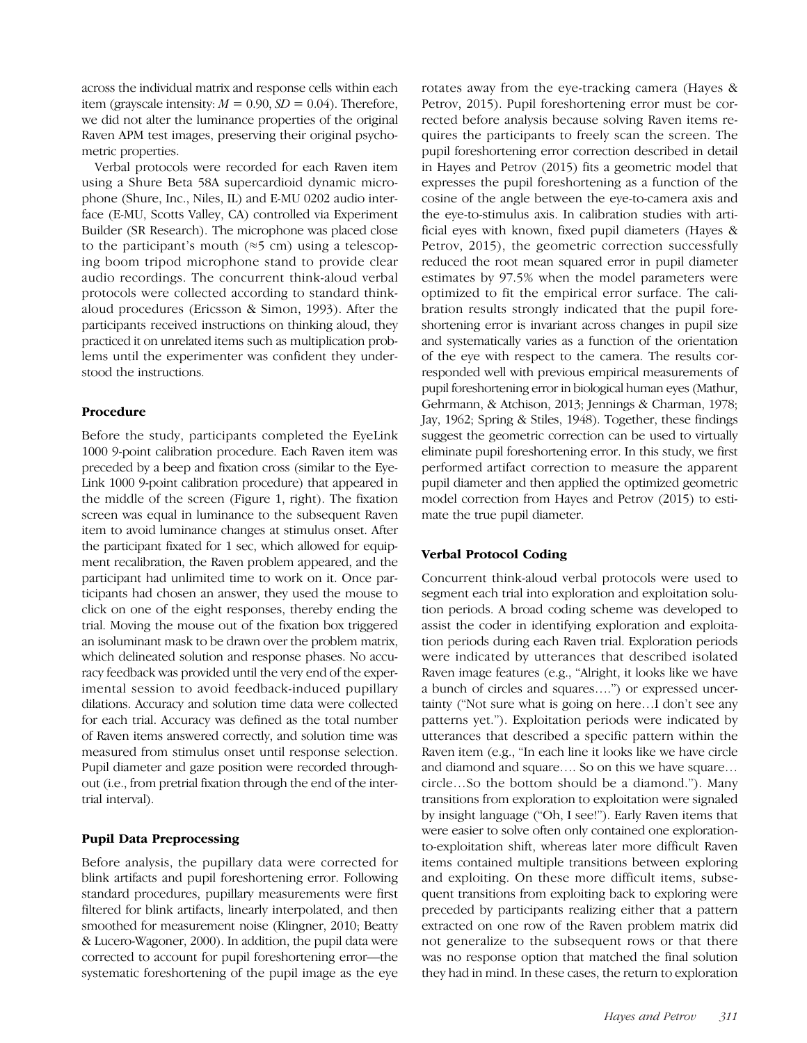across the individual matrix and response cells within each item (grayscale intensity:  $M = 0.90$ ,  $SD = 0.04$ ). Therefore, we did not alter the luminance properties of the original Raven APM test images, preserving their original psychometric properties.

Verbal protocols were recorded for each Raven item using a Shure Beta 58A supercardioid dynamic microphone (Shure, Inc., Niles, IL) and E-MU 0202 audio interface (E-MU, Scotts Valley, CA) controlled via Experiment Builder (SR Research). The microphone was placed close to the participant's mouth ( $\approx$ 5 cm) using a telescoping boom tripod microphone stand to provide clear audio recordings. The concurrent think-aloud verbal protocols were collected according to standard thinkaloud procedures (Ericsson & Simon, 1993). After the participants received instructions on thinking aloud, they practiced it on unrelated items such as multiplication problems until the experimenter was confident they understood the instructions.

## Procedure

Before the study, participants completed the EyeLink 1000 9-point calibration procedure. Each Raven item was preceded by a beep and fixation cross (similar to the Eye-Link 1000 9-point calibration procedure) that appeared in the middle of the screen (Figure 1, right). The fixation screen was equal in luminance to the subsequent Raven item to avoid luminance changes at stimulus onset. After the participant fixated for 1 sec, which allowed for equipment recalibration, the Raven problem appeared, and the participant had unlimited time to work on it. Once participants had chosen an answer, they used the mouse to click on one of the eight responses, thereby ending the trial. Moving the mouse out of the fixation box triggered an isoluminant mask to be drawn over the problem matrix, which delineated solution and response phases. No accuracy feedback was provided until the very end of the experimental session to avoid feedback-induced pupillary dilations. Accuracy and solution time data were collected for each trial. Accuracy was defined as the total number of Raven items answered correctly, and solution time was measured from stimulus onset until response selection. Pupil diameter and gaze position were recorded throughout (i.e., from pretrial fixation through the end of the intertrial interval).

# Pupil Data Preprocessing

Before analysis, the pupillary data were corrected for blink artifacts and pupil foreshortening error. Following standard procedures, pupillary measurements were first filtered for blink artifacts, linearly interpolated, and then smoothed for measurement noise (Klingner, 2010; Beatty & Lucero-Wagoner, 2000). In addition, the pupil data were corrected to account for pupil foreshortening error—the systematic foreshortening of the pupil image as the eye

rotates away from the eye-tracking camera (Hayes & Petrov, 2015). Pupil foreshortening error must be corrected before analysis because solving Raven items requires the participants to freely scan the screen. The pupil foreshortening error correction described in detail in Hayes and Petrov (2015) fits a geometric model that expresses the pupil foreshortening as a function of the cosine of the angle between the eye-to-camera axis and the eye-to-stimulus axis. In calibration studies with artificial eyes with known, fixed pupil diameters (Hayes & Petrov, 2015), the geometric correction successfully reduced the root mean squared error in pupil diameter estimates by 97.5% when the model parameters were optimized to fit the empirical error surface. The calibration results strongly indicated that the pupil foreshortening error is invariant across changes in pupil size and systematically varies as a function of the orientation of the eye with respect to the camera. The results corresponded well with previous empirical measurements of pupil foreshortening error in biological human eyes (Mathur, Gehrmann, & Atchison, 2013; Jennings & Charman, 1978; Jay, 1962; Spring & Stiles, 1948). Together, these findings suggest the geometric correction can be used to virtually eliminate pupil foreshortening error. In this study, we first performed artifact correction to measure the apparent pupil diameter and then applied the optimized geometric model correction from Hayes and Petrov (2015) to estimate the true pupil diameter.

# Verbal Protocol Coding

Concurrent think-aloud verbal protocols were used to segment each trial into exploration and exploitation solution periods. A broad coding scheme was developed to assist the coder in identifying exploration and exploitation periods during each Raven trial. Exploration periods were indicated by utterances that described isolated Raven image features (e.g., "Alright, it looks like we have a bunch of circles and squares….") or expressed uncertainty ("Not sure what is going on here…I don't see any patterns yet."). Exploitation periods were indicated by utterances that described a specific pattern within the Raven item (e.g., "In each line it looks like we have circle and diamond and square…. So on this we have square… circle…So the bottom should be a diamond."). Many transitions from exploration to exploitation were signaled by insight language ("Oh, I see!"). Early Raven items that were easier to solve often only contained one explorationto-exploitation shift, whereas later more difficult Raven items contained multiple transitions between exploring and exploiting. On these more difficult items, subsequent transitions from exploiting back to exploring were preceded by participants realizing either that a pattern extracted on one row of the Raven problem matrix did not generalize to the subsequent rows or that there was no response option that matched the final solution they had in mind. In these cases, the return to exploration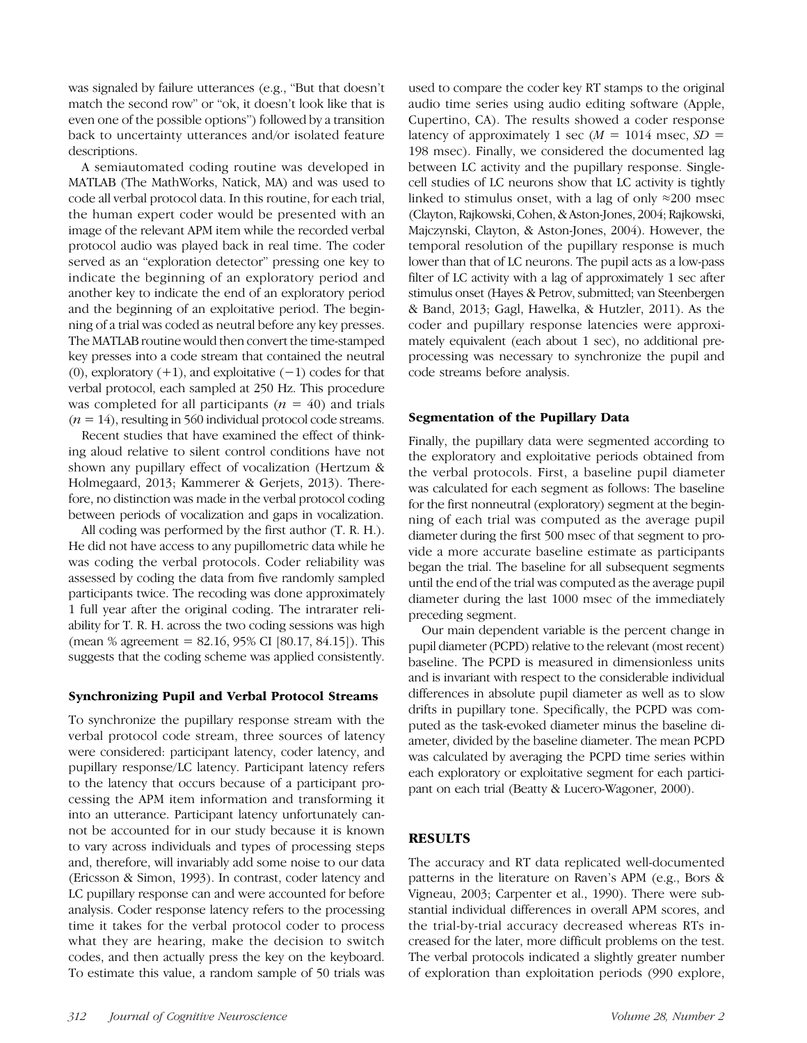was signaled by failure utterances (e.g., "But that doesn't match the second row" or "ok, it doesn't look like that is even one of the possible options") followed by a transition back to uncertainty utterances and/or isolated feature descriptions.

A semiautomated coding routine was developed in MATLAB (The MathWorks, Natick, MA) and was used to code all verbal protocol data. In this routine, for each trial, the human expert coder would be presented with an image of the relevant APM item while the recorded verbal protocol audio was played back in real time. The coder served as an "exploration detector" pressing one key to indicate the beginning of an exploratory period and another key to indicate the end of an exploratory period and the beginning of an exploitative period. The beginning of a trial was coded as neutral before any key presses. The MATLAB routine would then convert the time-stamped key presses into a code stream that contained the neutral (0), exploratory  $(+1)$ , and exploitative  $(-1)$  codes for that verbal protocol, each sampled at 250 Hz. This procedure was completed for all participants ( $n = 40$ ) and trials  $(n = 14)$ , resulting in 560 individual protocol code streams.

Recent studies that have examined the effect of thinking aloud relative to silent control conditions have not shown any pupillary effect of vocalization (Hertzum & Holmegaard, 2013; Kammerer & Gerjets, 2013). Therefore, no distinction was made in the verbal protocol coding between periods of vocalization and gaps in vocalization.

All coding was performed by the first author (T. R. H.). He did not have access to any pupillometric data while he was coding the verbal protocols. Coder reliability was assessed by coding the data from five randomly sampled participants twice. The recoding was done approximately 1 full year after the original coding. The intrarater reliability for T. R. H. across the two coding sessions was high (mean % agreement =  $82.16$ ,  $95\%$  CI  $[80.17, 84.15]$ ). This suggests that the coding scheme was applied consistently.

#### Synchronizing Pupil and Verbal Protocol Streams

To synchronize the pupillary response stream with the verbal protocol code stream, three sources of latency were considered: participant latency, coder latency, and pupillary response/LC latency. Participant latency refers to the latency that occurs because of a participant processing the APM item information and transforming it into an utterance. Participant latency unfortunately cannot be accounted for in our study because it is known to vary across individuals and types of processing steps and, therefore, will invariably add some noise to our data (Ericsson & Simon, 1993). In contrast, coder latency and LC pupillary response can and were accounted for before analysis. Coder response latency refers to the processing time it takes for the verbal protocol coder to process what they are hearing, make the decision to switch codes, and then actually press the key on the keyboard. To estimate this value, a random sample of 50 trials was

used to compare the coder key RT stamps to the original audio time series using audio editing software (Apple, Cupertino, CA). The results showed a coder response latency of approximately 1 sec ( $M = 1014$  msec,  $SD =$ 198 msec). Finally, we considered the documented lag between LC activity and the pupillary response. Singlecell studies of LC neurons show that LC activity is tightly linked to stimulus onset, with a lag of only  $\approx$ 200 msec (Clayton, Rajkowski, Cohen, & Aston-Jones, 2004; Rajkowski, Majczynski, Clayton, & Aston-Jones, 2004). However, the temporal resolution of the pupillary response is much lower than that of LC neurons. The pupil acts as a low-pass filter of LC activity with a lag of approximately 1 sec after stimulus onset (Hayes & Petrov, submitted; van Steenbergen & Band, 2013; Gagl, Hawelka, & Hutzler, 2011). As the coder and pupillary response latencies were approximately equivalent (each about 1 sec), no additional preprocessing was necessary to synchronize the pupil and code streams before analysis.

## Segmentation of the Pupillary Data

Finally, the pupillary data were segmented according to the exploratory and exploitative periods obtained from the verbal protocols. First, a baseline pupil diameter was calculated for each segment as follows: The baseline for the first nonneutral (exploratory) segment at the beginning of each trial was computed as the average pupil diameter during the first 500 msec of that segment to provide a more accurate baseline estimate as participants began the trial. The baseline for all subsequent segments until the end of the trial was computed as the average pupil diameter during the last 1000 msec of the immediately preceding segment.

Our main dependent variable is the percent change in pupil diameter (PCPD) relative to the relevant (most recent) baseline. The PCPD is measured in dimensionless units and is invariant with respect to the considerable individual differences in absolute pupil diameter as well as to slow drifts in pupillary tone. Specifically, the PCPD was computed as the task-evoked diameter minus the baseline diameter, divided by the baseline diameter. The mean PCPD was calculated by averaging the PCPD time series within each exploratory or exploitative segment for each participant on each trial (Beatty & Lucero-Wagoner, 2000).

# RESULTS

The accuracy and RT data replicated well-documented patterns in the literature on Raven's APM (e.g., Bors & Vigneau, 2003; Carpenter et al., 1990). There were substantial individual differences in overall APM scores, and the trial-by-trial accuracy decreased whereas RTs increased for the later, more difficult problems on the test. The verbal protocols indicated a slightly greater number of exploration than exploitation periods (990 explore,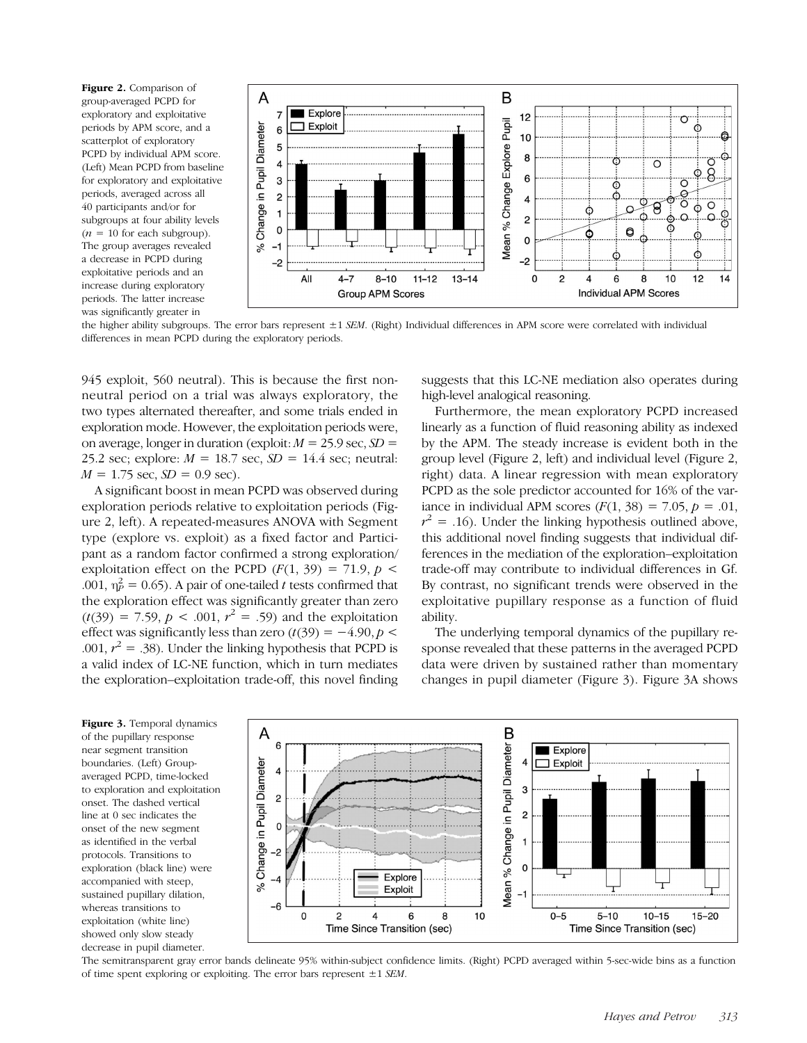Figure 2. Comparison of group-averaged PCPD for exploratory and exploitative periods by APM score, and a scatterplot of exploratory PCPD by individual APM score. (Left) Mean PCPD from baseline for exploratory and exploitative periods, averaged across all 40 participants and/or for subgroups at four ability levels  $(n = 10$  for each subgroup). The group averages revealed a decrease in PCPD during exploitative periods and an increase during exploratory periods. The latter increase was significantly greater in



the higher ability subgroups. The error bars represent  $\pm 1$  SEM. (Right) Individual differences in APM score were correlated with individual differences in mean PCPD during the exploratory periods.

945 exploit, 560 neutral). This is because the first nonneutral period on a trial was always exploratory, the two types alternated thereafter, and some trials ended in exploration mode. However, the exploitation periods were, on average, longer in duration (exploit:  $M = 25.9$  sec,  $SD =$ 25.2 sec; explore:  $M = 18.7$  sec,  $SD = 14.4$  sec; neutral:  $M = 1.75$  sec,  $SD = 0.9$  sec).

A significant boost in mean PCPD was observed during exploration periods relative to exploitation periods (Figure 2, left). A repeated-measures ANOVA with Segment type (explore vs. exploit) as a fixed factor and Participant as a random factor confirmed a strong exploration/ exploitation effect on the PCPD  $(F(1, 39) = 71.9, p \le$ .001,  $\eta_P^2 = 0.65$ ). A pair of one-tailed t tests confirmed that the exploration effect was significantly greater than zero  $(t(39) = 7.59, p < .001, r<sup>2</sup> = .59)$  and the exploitation effect was significantly less than zero  $(t(39) = -4.90, p <$ .001,  $r^2 = .38$ ). Under the linking hypothesis that PCPD is a valid index of LC-NE function, which in turn mediates the exploration–exploitation trade-off, this novel finding

suggests that this LC-NE mediation also operates during high-level analogical reasoning.

Furthermore, the mean exploratory PCPD increased linearly as a function of fluid reasoning ability as indexed by the APM. The steady increase is evident both in the group level (Figure 2, left) and individual level (Figure 2, right) data. A linear regression with mean exploratory PCPD as the sole predictor accounted for 16% of the variance in individual APM scores  $(F(1, 38) = 7.05, p = .01,$  $r^2$  = .16). Under the linking hypothesis outlined above, this additional novel finding suggests that individual differences in the mediation of the exploration–exploitation trade-off may contribute to individual differences in Gf. By contrast, no significant trends were observed in the exploitative pupillary response as a function of fluid ability.

The underlying temporal dynamics of the pupillary response revealed that these patterns in the averaged PCPD data were driven by sustained rather than momentary changes in pupil diameter (Figure 3). Figure 3A shows

Figure 3. Temporal dynamics of the pupillary response near segment transition boundaries. (Left) Groupaveraged PCPD, time-locked to exploration and exploitation onset. The dashed vertical line at 0 sec indicates the onset of the new segment as identified in the verbal protocols. Transitions to exploration (black line) were accompanied with steep, sustained pupillary dilation, whereas transitions to exploitation (white line) showed only slow steady decrease in pupil diameter.



The semitransparent gray error bands delineate 95% within-subject confidence limits. (Right) PCPD averaged within 5-sec-wide bins as a function of time spent exploring or exploiting. The error bars represent  $\pm 1$  SEM.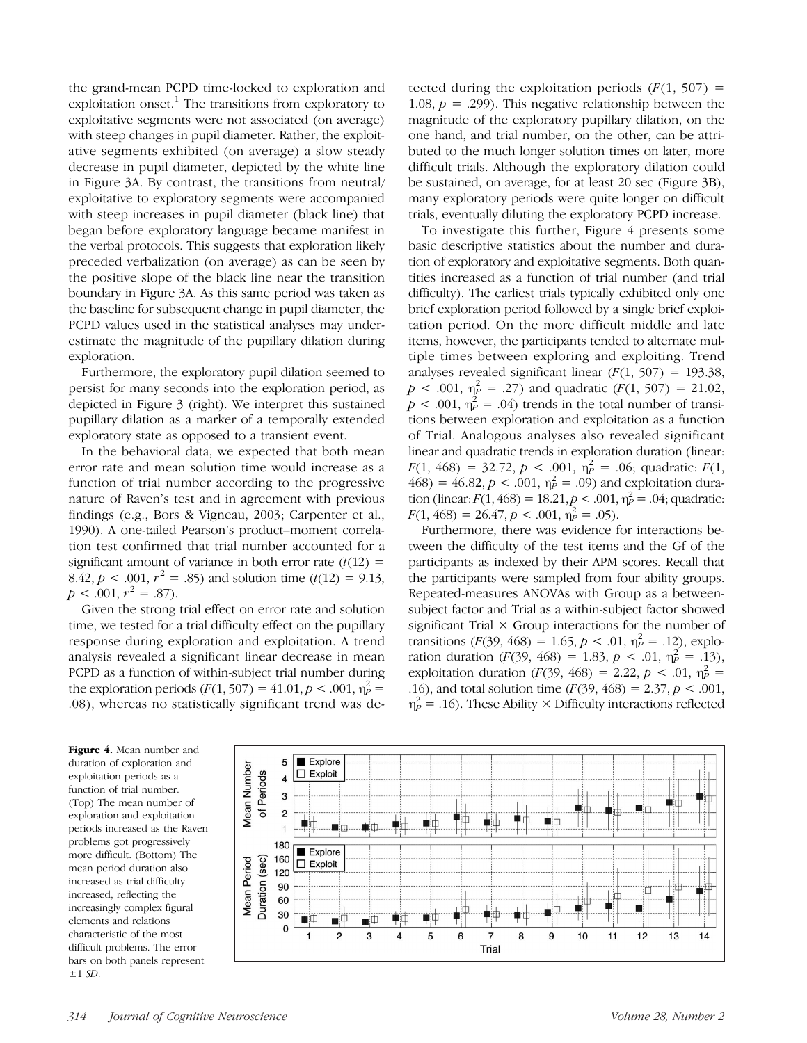the grand-mean PCPD time-locked to exploration and exploitation onset.<sup>1</sup> The transitions from exploratory to exploitative segments were not associated (on average) with steep changes in pupil diameter. Rather, the exploitative segments exhibited (on average) a slow steady decrease in pupil diameter, depicted by the white line in Figure 3A. By contrast, the transitions from neutral/ exploitative to exploratory segments were accompanied with steep increases in pupil diameter (black line) that began before exploratory language became manifest in the verbal protocols. This suggests that exploration likely preceded verbalization (on average) as can be seen by the positive slope of the black line near the transition boundary in Figure 3A. As this same period was taken as the baseline for subsequent change in pupil diameter, the PCPD values used in the statistical analyses may underestimate the magnitude of the pupillary dilation during exploration.

Furthermore, the exploratory pupil dilation seemed to persist for many seconds into the exploration period, as depicted in Figure 3 (right). We interpret this sustained pupillary dilation as a marker of a temporally extended exploratory state as opposed to a transient event.

In the behavioral data, we expected that both mean error rate and mean solution time would increase as a function of trial number according to the progressive nature of Raven's test and in agreement with previous findings (e.g., Bors & Vigneau, 2003; Carpenter et al., 1990). A one-tailed Pearson's product–moment correlation test confirmed that trial number accounted for a significant amount of variance in both error rate  $(t(12) =$ 8.42,  $p < .001$ ,  $r^2 = .85$ ) and solution time (t(12) = 9.13,  $p < .001, r^2 = .87$ ).

Given the strong trial effect on error rate and solution time, we tested for a trial difficulty effect on the pupillary response during exploration and exploitation. A trend analysis revealed a significant linear decrease in mean PCPD as a function of within-subject trial number during the exploration periods  $(F(1, 507) = 41.01, p < .001, \eta_P^2 =$ .08), whereas no statistically significant trend was detected during the exploitation periods  $(F(1, 507))$  = 1.08,  $p = .299$ . This negative relationship between the magnitude of the exploratory pupillary dilation, on the one hand, and trial number, on the other, can be attributed to the much longer solution times on later, more difficult trials. Although the exploratory dilation could be sustained, on average, for at least 20 sec (Figure 3B), many exploratory periods were quite longer on difficult trials, eventually diluting the exploratory PCPD increase.

To investigate this further, Figure 4 presents some basic descriptive statistics about the number and duration of exploratory and exploitative segments. Both quantities increased as a function of trial number (and trial difficulty). The earliest trials typically exhibited only one brief exploration period followed by a single brief exploitation period. On the more difficult middle and late items, however, the participants tended to alternate multiple times between exploring and exploiting. Trend analyses revealed significant linear  $(F(1, 507) = 193.38$ ,  $p < .001$ ,  $\eta_P^2 = .27$ ) and quadratic  $(F(1, 507) = 21.02)$ ,  $p < .001$ ,  $\eta_P^2 = .04$ ) trends in the total number of transitions between exploration and exploitation as a function of Trial. Analogous analyses also revealed significant linear and quadratic trends in exploration duration (linear:  $F(1, 468) = 32.72, p < .001, \eta_P^2 = .06$ ; quadratic:  $F(1, 468) = 32.72, p < .001, \eta_P^2 = .06$ ;  $468$ ) =  $46.82, p < .001, \eta_P^2 = .09$ ) and exploitation duration (linear:  $F(1, 468) = 18.21, p < .001, \eta_P^2 = .04$ ; quadratic:  $F(1, 468) = 26.47, p < .001, \eta_P^2 = .05$ .

Furthermore, there was evidence for interactions between the difficulty of the test items and the Gf of the participants as indexed by their APM scores. Recall that the participants were sampled from four ability groups. Repeated-measures ANOVAs with Group as a betweensubject factor and Trial as a within-subject factor showed significant Trial  $\times$  Group interactions for the number of transitions ( $F(39, 468) = 1.65, p < .01, \eta_P^2 = .12$ ), exploration duration  $(F(39, 468) = 1.83, p < .01, \eta_P^2 = .13)$ , exploitation duration (F(39, 468) = 2.22, p < .01,  $\eta_P^2$  = .16), and total solution time  $(F(39, 468) = 2.37, p < .001,$  $\eta_P^2$  = .16). These Ability × Difficulty interactions reflected

Figure 4. Mean number and duration of exploration and exploitation periods as a function of trial number. (Top) The mean number of exploration and exploitation periods increased as the Raven problems got progressively more difficult. (Bottom) The mean period duration also increased as trial difficulty increased, reflecting the increasingly complex figural elements and relations characteristic of the most difficult problems. The error bars on both panels represent  $\pm 1$  SD.

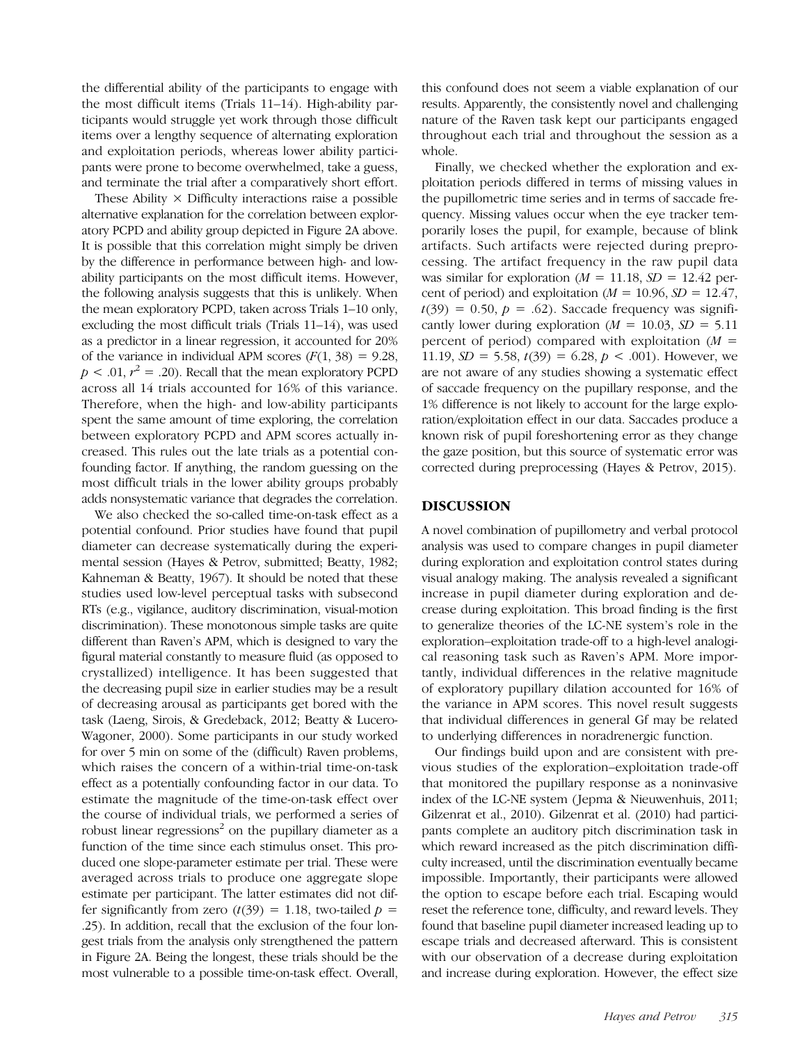the differential ability of the participants to engage with the most difficult items (Trials 11–14). High-ability participants would struggle yet work through those difficult items over a lengthy sequence of alternating exploration and exploitation periods, whereas lower ability participants were prone to become overwhelmed, take a guess, and terminate the trial after a comparatively short effort.

These Ability  $\times$  Difficulty interactions raise a possible alternative explanation for the correlation between exploratory PCPD and ability group depicted in Figure 2A above. It is possible that this correlation might simply be driven by the difference in performance between high- and lowability participants on the most difficult items. However, the following analysis suggests that this is unlikely. When the mean exploratory PCPD, taken across Trials 1–10 only, excluding the most difficult trials (Trials 11–14), was used as a predictor in a linear regression, it accounted for 20% of the variance in individual APM scores  $(F(1, 38) = 9.28$ ,  $p < .01, r<sup>2</sup> = .20$ ). Recall that the mean exploratory PCPD across all 14 trials accounted for 16% of this variance. Therefore, when the high- and low-ability participants spent the same amount of time exploring, the correlation between exploratory PCPD and APM scores actually increased. This rules out the late trials as a potential confounding factor. If anything, the random guessing on the most difficult trials in the lower ability groups probably adds nonsystematic variance that degrades the correlation.

We also checked the so-called time-on-task effect as a potential confound. Prior studies have found that pupil diameter can decrease systematically during the experimental session (Hayes & Petrov, submitted; Beatty, 1982; Kahneman & Beatty, 1967). It should be noted that these studies used low-level perceptual tasks with subsecond RTs (e.g., vigilance, auditory discrimination, visual-motion discrimination). These monotonous simple tasks are quite different than Raven's APM, which is designed to vary the figural material constantly to measure fluid (as opposed to crystallized) intelligence. It has been suggested that the decreasing pupil size in earlier studies may be a result of decreasing arousal as participants get bored with the task (Laeng, Sirois, & Gredeback, 2012; Beatty & Lucero-Wagoner, 2000). Some participants in our study worked for over 5 min on some of the (difficult) Raven problems, which raises the concern of a within-trial time-on-task effect as a potentially confounding factor in our data. To estimate the magnitude of the time-on-task effect over the course of individual trials, we performed a series of robust linear regressions<sup>2</sup> on the pupillary diameter as a function of the time since each stimulus onset. This produced one slope-parameter estimate per trial. These were averaged across trials to produce one aggregate slope estimate per participant. The latter estimates did not differ significantly from zero  $(t(39) = 1.18$ , two-tailed  $p =$ .25). In addition, recall that the exclusion of the four longest trials from the analysis only strengthened the pattern in Figure 2A. Being the longest, these trials should be the most vulnerable to a possible time-on-task effect. Overall,

this confound does not seem a viable explanation of our results. Apparently, the consistently novel and challenging nature of the Raven task kept our participants engaged throughout each trial and throughout the session as a whole.

Finally, we checked whether the exploration and exploitation periods differed in terms of missing values in the pupillometric time series and in terms of saccade frequency. Missing values occur when the eye tracker temporarily loses the pupil, for example, because of blink artifacts. Such artifacts were rejected during preprocessing. The artifact frequency in the raw pupil data was similar for exploration ( $M = 11.18$ ,  $SD = 12.42$  percent of period) and exploitation ( $M = 10.96$ ,  $SD = 12.47$ ,  $t(39) = 0.50$ ,  $p = .62$ ). Saccade frequency was significantly lower during exploration ( $M = 10.03$ ,  $SD = 5.11$ ) percent of period) compared with exploitation  $(M =$ 11.19,  $SD = 5.58$ ,  $t(39) = 6.28$ ,  $p < .001$ ). However, we are not aware of any studies showing a systematic effect of saccade frequency on the pupillary response, and the 1% difference is not likely to account for the large exploration/exploitation effect in our data. Saccades produce a known risk of pupil foreshortening error as they change the gaze position, but this source of systematic error was corrected during preprocessing (Hayes & Petrov, 2015).

## DISCUSSION

A novel combination of pupillometry and verbal protocol analysis was used to compare changes in pupil diameter during exploration and exploitation control states during visual analogy making. The analysis revealed a significant increase in pupil diameter during exploration and decrease during exploitation. This broad finding is the first to generalize theories of the LC-NE system's role in the exploration–exploitation trade-off to a high-level analogical reasoning task such as Raven's APM. More importantly, individual differences in the relative magnitude of exploratory pupillary dilation accounted for 16% of the variance in APM scores. This novel result suggests that individual differences in general Gf may be related to underlying differences in noradrenergic function.

Our findings build upon and are consistent with previous studies of the exploration–exploitation trade-off that monitored the pupillary response as a noninvasive index of the LC-NE system (Jepma & Nieuwenhuis, 2011; Gilzenrat et al., 2010). Gilzenrat et al. (2010) had participants complete an auditory pitch discrimination task in which reward increased as the pitch discrimination difficulty increased, until the discrimination eventually became impossible. Importantly, their participants were allowed the option to escape before each trial. Escaping would reset the reference tone, difficulty, and reward levels. They found that baseline pupil diameter increased leading up to escape trials and decreased afterward. This is consistent with our observation of a decrease during exploitation and increase during exploration. However, the effect size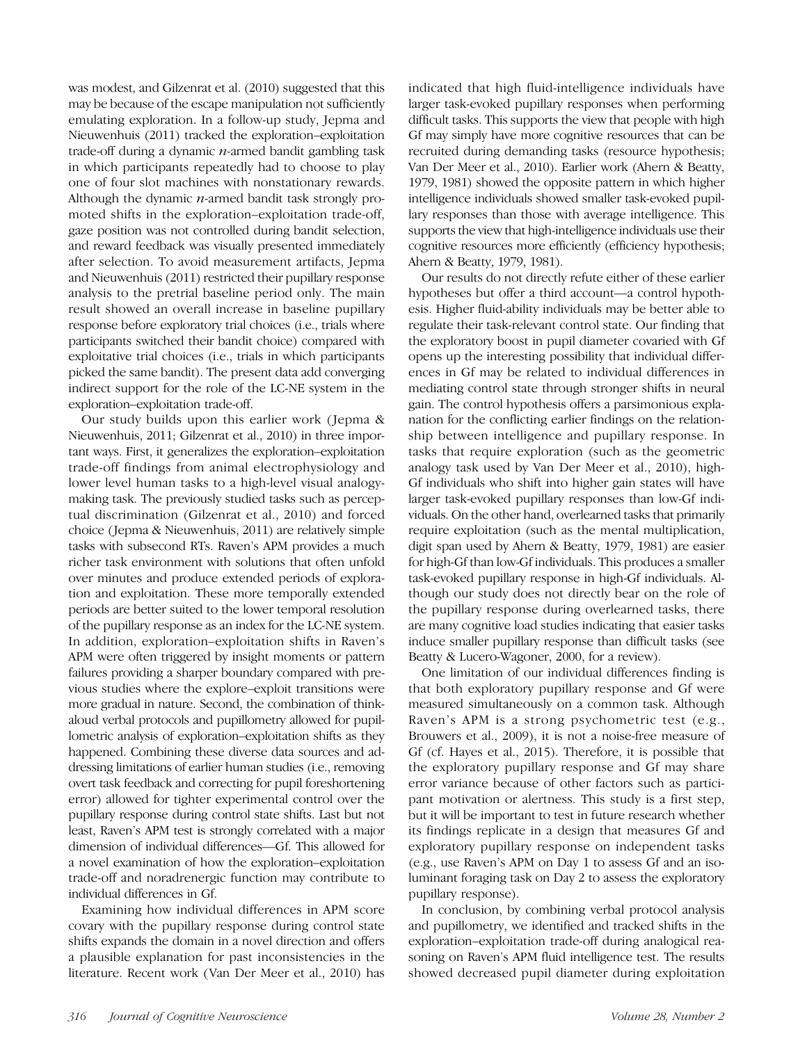was modest, and Gilzenrat et al. (2010) suggested that this may be because of the escape manipulation not sufficiently emulating exploration. In a follow-up study, Jepma and Nieuwenhuis (2011) tracked the exploration–exploitation trade-off during a dynamic  $n$ -armed bandit gambling task in which participants repeatedly had to choose to play one of four slot machines with nonstationary rewards. Although the dynamic  $n$ -armed bandit task strongly promoted shifts in the exploration–exploitation trade-off, gaze position was not controlled during bandit selection, and reward feedback was visually presented immediately after selection. To avoid measurement artifacts, Jepma and Nieuwenhuis (2011) restricted their pupillary response analysis to the pretrial baseline period only. The main result showed an overall increase in baseline pupillary response before exploratory trial choices (i.e., trials where participants switched their bandit choice) compared with exploitative trial choices (i.e., trials in which participants picked the same bandit). The present data add converging indirect support for the role of the LC-NE system in the exploration–exploitation trade-off.

Our study builds upon this earlier work (Jepma & Nieuwenhuis, 2011; Gilzenrat et al., 2010) in three important ways. First, it generalizes the exploration–exploitation trade-off findings from animal electrophysiology and lower level human tasks to a high-level visual analogymaking task. The previously studied tasks such as perceptual discrimination (Gilzenrat et al., 2010) and forced choice ( Jepma & Nieuwenhuis, 2011) are relatively simple tasks with subsecond RTs. Raven's APM provides a much richer task environment with solutions that often unfold over minutes and produce extended periods of exploration and exploitation. These more temporally extended periods are better suited to the lower temporal resolution of the pupillary response as an index for the LC-NE system. In addition, exploration–exploitation shifts in Raven's APM were often triggered by insight moments or pattern failures providing a sharper boundary compared with previous studies where the explore–exploit transitions were more gradual in nature. Second, the combination of thinkaloud verbal protocols and pupillometry allowed for pupillometric analysis of exploration–exploitation shifts as they happened. Combining these diverse data sources and addressing limitations of earlier human studies (i.e., removing overt task feedback and correcting for pupil foreshortening error) allowed for tighter experimental control over the pupillary response during control state shifts. Last but not least, Raven's APM test is strongly correlated with a major dimension of individual differences—Gf. This allowed for a novel examination of how the exploration–exploitation trade-off and noradrenergic function may contribute to individual differences in Gf.

Examining how individual differences in APM score covary with the pupillary response during control state shifts expands the domain in a novel direction and offers a plausible explanation for past inconsistencies in the literature. Recent work (Van Der Meer et al., 2010) has indicated that high fluid-intelligence individuals have larger task-evoked pupillary responses when performing difficult tasks. This supports the view that people with high Gf may simply have more cognitive resources that can be recruited during demanding tasks (resource hypothesis; Van Der Meer et al., 2010). Earlier work (Ahern & Beatty, 1979, 1981) showed the opposite pattern in which higher intelligence individuals showed smaller task-evoked pupillary responses than those with average intelligence. This supports the view that high-intelligence individuals use their cognitive resources more efficiently (efficiency hypothesis; Ahern & Beatty, 1979, 1981).

Our results do not directly refute either of these earlier hypotheses but offer a third account—a control hypothesis. Higher fluid-ability individuals may be better able to regulate their task-relevant control state. Our finding that the exploratory boost in pupil diameter covaried with Gf opens up the interesting possibility that individual differences in Gf may be related to individual differences in mediating control state through stronger shifts in neural gain. The control hypothesis offers a parsimonious explanation for the conflicting earlier findings on the relationship between intelligence and pupillary response. In tasks that require exploration (such as the geometric analogy task used by Van Der Meer et al., 2010), high-Gf individuals who shift into higher gain states will have larger task-evoked pupillary responses than low-Gf individuals. On the other hand, overlearned tasks that primarily require exploitation (such as the mental multiplication, digit span used by Ahern & Beatty, 1979, 1981) are easier for high-Gf than low-Gf individuals. This produces a smaller task-evoked pupillary response in high-Gf individuals. Although our study does not directly bear on the role of the pupillary response during overlearned tasks, there are many cognitive load studies indicating that easier tasks induce smaller pupillary response than difficult tasks (see Beatty & Lucero-Wagoner, 2000, for a review).

One limitation of our individual differences finding is that both exploratory pupillary response and Gf were measured simultaneously on a common task. Although Raven's APM is a strong psychometric test (e.g., Brouwers et al., 2009), it is not a noise-free measure of Gf (cf. Hayes et al., 2015). Therefore, it is possible that the exploratory pupillary response and Gf may share error variance because of other factors such as participant motivation or alertness. This study is a first step, but it will be important to test in future research whether its findings replicate in a design that measures Gf and exploratory pupillary response on independent tasks (e.g., use Raven's APM on Day 1 to assess Gf and an isoluminant foraging task on Day 2 to assess the exploratory pupillary response).

In conclusion, by combining verbal protocol analysis and pupillometry, we identified and tracked shifts in the exploration–exploitation trade-off during analogical reasoning on Raven's APM fluid intelligence test. The results showed decreased pupil diameter during exploitation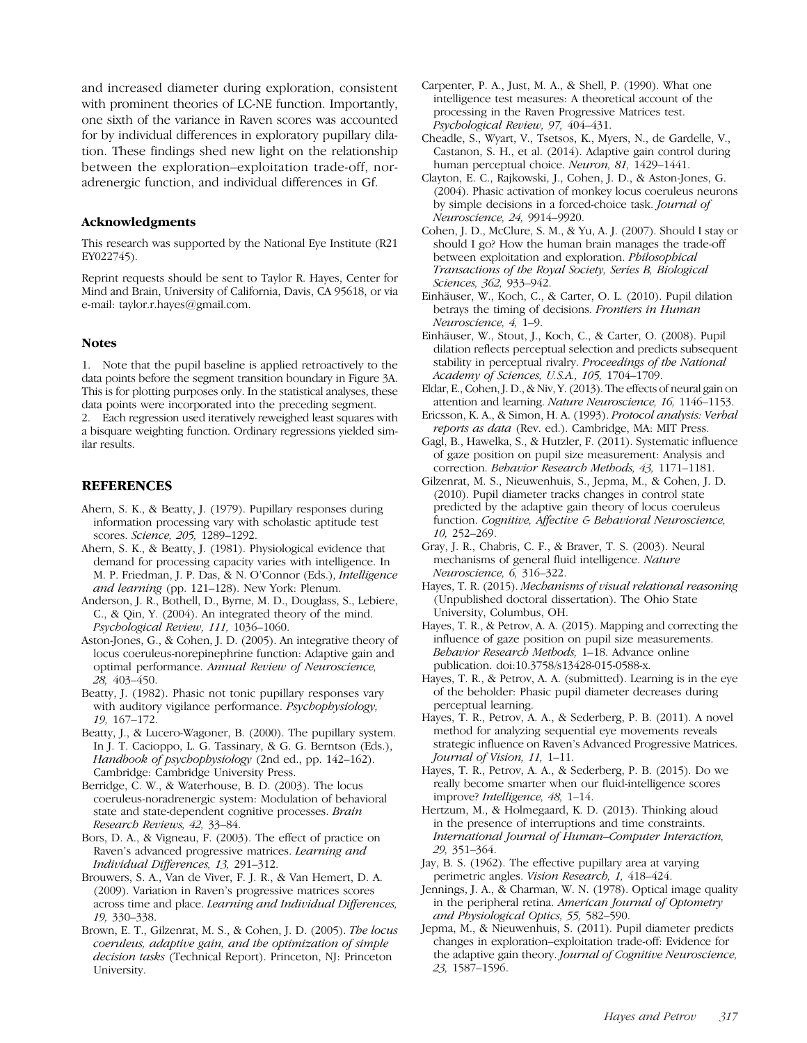and increased diameter during exploration, consistent with prominent theories of LC-NE function. Importantly, one sixth of the variance in Raven scores was accounted for by individual differences in exploratory pupillary dilation. These findings shed new light on the relationship between the exploration–exploitation trade-off, noradrenergic function, and individual differences in Gf.

#### Acknowledgments

This research was supported by the National Eye Institute (R21 EY022745).

Reprint requests should be sent to Taylor R. Hayes, Center for Mind and Brain, University of California, Davis, CA 95618, or via e-mail: taylor.r.hayes@gmail.com.

#### Notes

1. Note that the pupil baseline is applied retroactively to the data points before the segment transition boundary in Figure 3A. This is for plotting purposes only. In the statistical analyses, these data points were incorporated into the preceding segment.

2. Each regression used iteratively reweighed least squares with a bisquare weighting function. Ordinary regressions yielded similar results.

#### **REFERENCES**

- Ahern, S. K., & Beatty, J. (1979). Pupillary responses during information processing vary with scholastic aptitude test scores. Science, 205, 1289–1292.
- Ahern, S. K., & Beatty, J. (1981). Physiological evidence that demand for processing capacity varies with intelligence. In M. P. Friedman, J. P. Das, & N. O'Connor (Eds.), Intelligence and learning (pp. 121–128). New York: Plenum.
- Anderson, J. R., Bothell, D., Byrne, M. D., Douglass, S., Lebiere, C., & Qin, Y. (2004). An integrated theory of the mind. Psychological Review, 111, 1036–1060.
- Aston-Jones, G., & Cohen, J. D. (2005). An integrative theory of locus coeruleus-norepinephrine function: Adaptive gain and optimal performance. Annual Review of Neuroscience, 28, 403–450.
- Beatty, J. (1982). Phasic not tonic pupillary responses vary with auditory vigilance performance. Psychophysiology, 19, 167–172.
- Beatty, J., & Lucero-Wagoner, B. (2000). The pupillary system. In J. T. Cacioppo, L. G. Tassinary, & G. G. Berntson (Eds.), Handbook of psychophysiology (2nd ed., pp. 142-162). Cambridge: Cambridge University Press.
- Berridge, C. W., & Waterhouse, B. D. (2003). The locus coeruleus-noradrenergic system: Modulation of behavioral state and state-dependent cognitive processes. Brain Research Reviews, 42, 33–84.
- Bors, D. A., & Vigneau, F. (2003). The effect of practice on Raven's advanced progressive matrices. Learning and Individual Differences, 13, 291–312.
- Brouwers, S. A., Van de Viver, F. J. R., & Van Hemert, D. A. (2009). Variation in Raven's progressive matrices scores across time and place. Learning and Individual Differences, 19, 330–338.
- Brown, E. T., Gilzenrat, M. S., & Cohen, J. D. (2005). The locus coeruleus, adaptive gain, and the optimization of simple decision tasks (Technical Report). Princeton, NJ: Princeton University.
- Carpenter, P. A., Just, M. A., & Shell, P. (1990). What one intelligence test measures: A theoretical account of the processing in the Raven Progressive Matrices test. Psychological Review, 97, 404–431.
- Cheadle, S., Wyart, V., Tsetsos, K., Myers, N., de Gardelle, V., Castanon, S. H., et al. (2014). Adaptive gain control during human perceptual choice. Neuron, 81, 1429-1441.
- Clayton, E. C., Rajkowski, J., Cohen, J. D., & Aston-Jones, G. (2004). Phasic activation of monkey locus coeruleus neurons by simple decisions in a forced-choice task. Journal of Neuroscience, 24, 9914–9920.
- Cohen, J. D., McClure, S. M., & Yu, A. J. (2007). Should I stay or should I go? How the human brain manages the trade-off between exploitation and exploration. Philosophical Transactions of the Royal Society, Series B, Biological Sciences, 362, 933–942.
- Einhäuser, W., Koch, C., & Carter, O. L. (2010). Pupil dilation betrays the timing of decisions. Frontiers in Human Neuroscience, 4, 1–9.
- Einhäuser, W., Stout, J., Koch, C., & Carter, O. (2008). Pupil dilation reflects perceptual selection and predicts subsequent stability in perceptual rivalry. Proceedings of the National Academy of Sciences, U.S.A., 105, 1704–1709.
- Eldar, E., Cohen, J. D., & Niv, Y. (2013). The effects of neural gain on attention and learning. Nature Neuroscience, 16, 1146–1153.
- Ericsson, K. A., & Simon, H. A. (1993). Protocol analysis: Verbal reports as data (Rev. ed.). Cambridge, MA: MIT Press.
- Gagl, B., Hawelka, S., & Hutzler, F. (2011). Systematic influence of gaze position on pupil size measurement: Analysis and correction. Behavior Research Methods, 43, 1171–1181.
- Gilzenrat, M. S., Nieuwenhuis, S., Jepma, M., & Cohen, J. D. (2010). Pupil diameter tracks changes in control state predicted by the adaptive gain theory of locus coeruleus function. Cognitive, Affective & Behavioral Neuroscience, 10, 252–269.
- Gray, J. R., Chabris, C. F., & Braver, T. S. (2003). Neural mechanisms of general fluid intelligence. Nature Neuroscience, 6, 316–322.
- Hayes, T. R. (2015). Mechanisms of visual relational reasoning (Unpublished doctoral dissertation). The Ohio State University, Columbus, OH.
- Hayes, T. R., & Petrov, A. A. (2015). Mapping and correcting the influence of gaze position on pupil size measurements. Behavior Research Methods, 1–18. Advance online publication. doi:10.3758/s13428-015-0588-x.
- Hayes, T. R., & Petrov, A. A. (submitted). Learning is in the eye of the beholder: Phasic pupil diameter decreases during perceptual learning.
- Hayes, T. R., Petrov, A. A., & Sederberg, P. B. (2011). A novel method for analyzing sequential eye movements reveals strategic influence on Raven's Advanced Progressive Matrices. Journal of Vision, 11, 1–11.
- Hayes, T. R., Petrov, A. A., & Sederberg, P. B. (2015). Do we really become smarter when our fluid-intelligence scores improve? Intelligence, 48, 1–14.
- Hertzum, M., & Holmegaard, K. D. (2013). Thinking aloud in the presence of interruptions and time constraints. International Journal of Human–Computer Interaction, 29, 351–364.
- Jay, B. S. (1962). The effective pupillary area at varying perimetric angles. Vision Research, 1, 418–424.
- Jennings, J. A., & Charman, W. N. (1978). Optical image quality in the peripheral retina. American Journal of Optometry and Physiological Optics, 55, 582–590.
- Jepma, M., & Nieuwenhuis, S. (2011). Pupil diameter predicts changes in exploration–exploitation trade-off: Evidence for the adaptive gain theory. Journal of Cognitive Neuroscience, 23, 1587–1596.